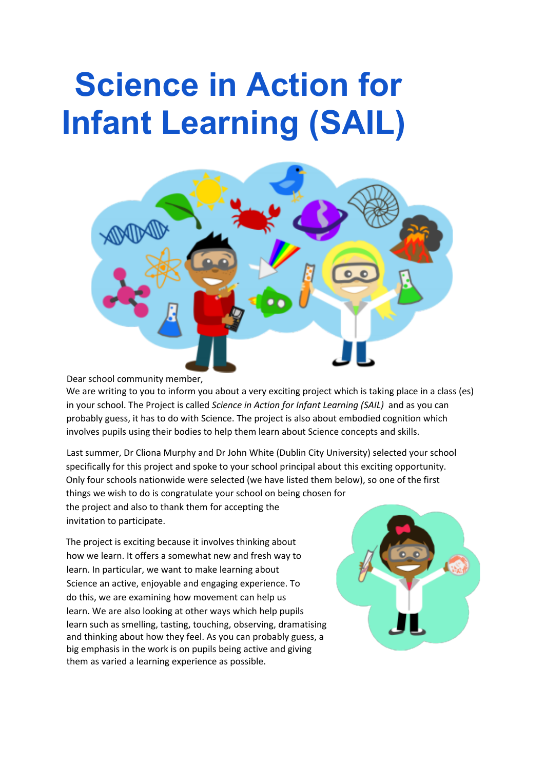## **Science in Action for Infant Learning (SAIL)**



Dear school community member,

We are writing to you to inform you about a very exciting project which is taking place in a class (es) in your school. The Project is called *Science in Action for Infant Learning (SAIL)* and as you can probably guess, it has to do with Science. The project is also about embodied cognition which involves pupils using their bodies to help them learn about Science concepts and skills.

Last summer, Dr Cliona Murphy and Dr John White (Dublin City University) selected your school specifically for this project and spoke to your school principal about this exciting opportunity. Only four schools nationwide were selected (we have listed them below), so one of the first things we wish to do is congratulate your school on being chosen for the project and also to thank them for accepting the invitation to participate.

The project is exciting because it involves thinking about how we learn. It offers a somewhat new and fresh way to learn. In particular, we want to make learning about Science an active, enjoyable and engaging experience. To do this, we are examining how movement can help us learn. We are also looking at other ways which help pupils learn such as smelling, tasting, touching, observing, dramatising and thinking about how they feel. As you can probably guess, a big emphasis in the work is on pupils being active and giving them as varied a learning experience as possible.